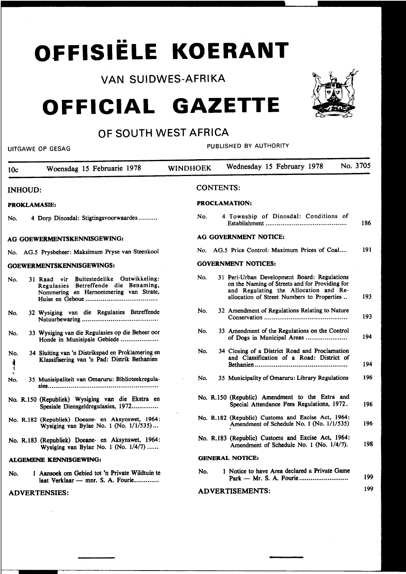# •• **OFFISIELE KOERANT**

### VAN SUIDWES-AFRIKA

## **OFFICIAL GAZETTE**



## OF SOUTH WEST AFRICA

UITGAWE OP GESAG PUBLISHED BY AUTHORITY

| 10c                       | Woensdag 15 Februarie 1978                                                                                                | No. 3705<br>Wednesday 15 February 1978<br><b>WINDHOEK</b>                                                                                                                                    |     |  |  |
|---------------------------|---------------------------------------------------------------------------------------------------------------------------|----------------------------------------------------------------------------------------------------------------------------------------------------------------------------------------------|-----|--|--|
| <b>INHOUD:</b>            |                                                                                                                           | <b>CONTENTS:</b>                                                                                                                                                                             |     |  |  |
|                           | <b>PROKLAMASIE:</b>                                                                                                       | <b>PROCLAMATION:</b>                                                                                                                                                                         |     |  |  |
| No.                       | 4 Dorp Dinosdal: Stigtingsvoorwaardes                                                                                     | 4 Township of Dinosdal: Conditions of<br>No.                                                                                                                                                 | 186 |  |  |
|                           | AG GOEWERMENTSKENNISGEWING:                                                                                               | AG GOVERNMENT NOTICE:                                                                                                                                                                        |     |  |  |
|                           | No. AG.5 Prysbeheer: Maksimum Pryse van Steenkool                                                                         | No. AG.5 Price Control: Maximum Prices of Coal                                                                                                                                               | 191 |  |  |
| GOEWERMENTSKENNISGEWINGS: |                                                                                                                           | <b>GOVERNMENT NOTICES:</b>                                                                                                                                                                   |     |  |  |
| No.                       | 31 Raad vir Buitestedelike Ontwikkeling:<br>Regulasies Betreffende die Benaming,<br>Nommering en Hernommering van Strate, | 31 Peri-Urban Development Board: Regulations<br>No.<br>on the Naming of Streets and for Providing for<br>and Regulating the Allocation and Re-<br>allocation of Street Numbers to Properties | 193 |  |  |
| No.                       | 32 Wysiging van die Regulasies Betreffende                                                                                | 32 Amendment of Regulations Relating to Nature<br>No.                                                                                                                                        | 193 |  |  |
| No.                       | 33 Wysiging van die Regulasies op die Beheer oor<br>Honde in Munisipale Gebiede                                           | 33 Amendment of the Regulations on the Control<br>No.<br>of Dogs in Municipal Areas                                                                                                          | 194 |  |  |
| No.<br>र्                 | 34 Sluiting van 'n Distrikspad en Proklamering en<br>Klassifisering van 'n Pad: Distrik Bethanien                         | 34 Closing of a District Road and Proclamation<br>No.<br>and Classification of a Road: District of                                                                                           | 194 |  |  |
| No.                       | 35 Munisipaliteit van Omaruru: Biblioteekregula-                                                                          | 35 Municipality of Omaruru: Library Regulations<br>No.                                                                                                                                       | 196 |  |  |
|                           | No. R.150 (Republiek) Wysiging van die Ekstra en<br>Spesiale Diensgeldregulasies, 1972                                    | No. R.150 (Republic) Amendment to the Extra and<br>Special Attendance Fees Regulations, 1972.                                                                                                | 196 |  |  |
|                           | No. R.182 (Republiek) Doeane- en Aksynswet, 1964:<br>Wysiging van Bylae No. 1 (No. $1/1/535$ )                            | No. R.182 (Republic) Customs and Excise Act, 1964:<br>Amendment of Schedule No. 1 (No. 1/1/535)                                                                                              | 196 |  |  |
|                           | No. R.183 (Republiek) Doeane- en Aksynswet, 1964:<br>Wysiging van Bylae No. 1 (No. $1/4/7$ )                              | No. R.183 (Republic) Customs and Excise Act, 1964:<br>Amendment of Schedule No. 1 (No. 1/4/7).                                                                                               | 198 |  |  |
|                           | <b>ALGEMENE KENNISGEWING:</b>                                                                                             | <b>GENERAL NOTICE:</b>                                                                                                                                                                       |     |  |  |
| No.                       | 1 Aansoek om Gebied tot 'n Private Wildtuin te<br>laat Verklaar - mnr. S. A. Fourie,                                      | 1 Notice to have Area declared a Private Game<br>No.                                                                                                                                         | 199 |  |  |
|                           | <b>ADVERTENSIES:</b>                                                                                                      | <b>ADVERTISEMENTS:</b>                                                                                                                                                                       | 199 |  |  |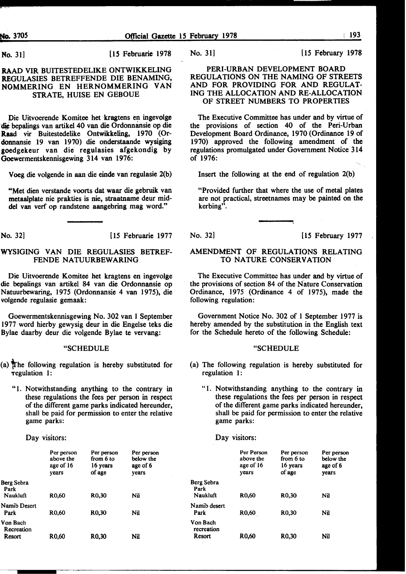No. 31] [15 Februarie 1978

#### RAAD VIR BUITESTEDELIKE ONTWIKKELING REGULASIES BETREFFENDE DIE BENAMING, NOMMERING EN HERNOMMERING VAN STRATE, HUlSE EN GEBOUE

Die Uitvoerende Komitee bet kragtens en ingevolge die bepalings van artikel 40 van die Ordonnansie op die Raad vir Buitestedelike Ontwikkeling, 1970 (Ordonnansie 19 van 1970) die onderstaande wysiging goedgekeur van die regulasies afgekondig by Goewermentskennisgewing 314 van 1976:

Voeg die volgende in aan die einde van regulasie 2(b)

"Met dien verstande voorts dat waar die gebruik van metaalplate nie prakties is nie, straatname deur middel van verf op randstene aangebring mag word."

No. 32] [15 Februarie 1977]

#### WYSIGING VAN DIE REGULASIES BETREF-FENDE NATUURBEWARING

Die Uitvoerende Komitee bet kragtens en ingevolge die bepalings van artikel 84 van die Ordonnansie op Natuurbewaring, 1975 (Ordonnansie 4 van 1975), die volgende regulasie gemaak:

Goewermentskennisgewing No. 302 van 1 September 1977 word hierby gewysig deur in die Engelse teks die Bylae daarby deur die volgende Bylae te vervang:

#### "SCHEDULE

- (a) The following regulation is hereby substituted for Tegulation 1:
	- "1. Notwithstanding anything to the contrary in these regulations the fees per person in respect of the different game parks indicated hereunder, shall be paid for permission to enter the relative game parks:

Day visitors:

|                                  | Per person<br>above the<br>age of 16<br>vears | Per person<br>from 6 to<br>16 years<br>of age | Per person<br>below the<br>age of 6<br>vears |
|----------------------------------|-----------------------------------------------|-----------------------------------------------|----------------------------------------------|
| Berg Sebra<br>Park               |                                               |                                               |                                              |
| Naukluft                         | R <sub>0</sub> .60                            | R <sub>0</sub> .30                            | Nil                                          |
| Namib Desert<br>Park             | R <sub>0</sub> ,60                            | R <sub>0</sub> ,30                            | Nil                                          |
| Von Bach<br>Recreation<br>Resort | R0.60                                         | R0,30                                         | Nil                                          |
|                                  |                                               |                                               |                                              |

No. 31] [15 February 1978]

#### PERI-URBAN DEVELOPMENT BOARD REGULATIONS ON THE NAMING OF STREETS AND FOR PROVIDING FOR AND REGULAT-ING THE ALLOCATION AND RE-ALLOCATION OF STREET NUMBERS TO PROPERTIES

The Executive Committee has under and by virtue of the provisions of section 40 of the Peri-Urban Development Board Ordinance, 1970 (Ordinance 19 of 1970) approved the following amendment of the regulations promulgated under Government Notice 314 of 1976:

Insert the following at the end of regulation 2(b)

"Provided further that where the use of metal plates are not practical, streetnames may be painted on the kerbing".

No. 32] [15 February 1977

#### AMENDMENT OF REGULATIONS RELATING TO NATURE CONSERVATION

The Executive Committee has under and by virtue of the provisions of section 84 of the Nature Conservation Ordinance, 1975 (Ordinance 4 of 1975), made the following regulation:

Government Notice No. 302 of 1 September 1977 is hereby amended by the substitution in the English text for the Schedule hereto of the following Schedule:

#### "SCHEDULE

- (a) The following regulation is hereby substituted for regulation 1:
	- "1. Notwithstanding anything to the contrary in these regulations the fees per person in respect of the different game parks indicated hereunder, shall be paid for permission to enter the relative game parks:

Day visitors:

|                                       | Per Person<br>above the<br>age of 16<br>vears | Per person<br>from 6 to<br>16 years<br>of age | Per person<br>below the<br>age of 6<br>vears |
|---------------------------------------|-----------------------------------------------|-----------------------------------------------|----------------------------------------------|
| Berg Sebra<br>Park<br><b>Naukluft</b> | R0.60                                         | R <sub>0</sub> ,30                            | Nil                                          |
| Namib desert<br>Park                  | R <sub>0</sub> ,60                            | R <sub>0</sub> ,30                            | Nil                                          |
| Von Bach<br>recreation<br>Resort      | R0.60                                         | R0,30                                         | Nil                                          |